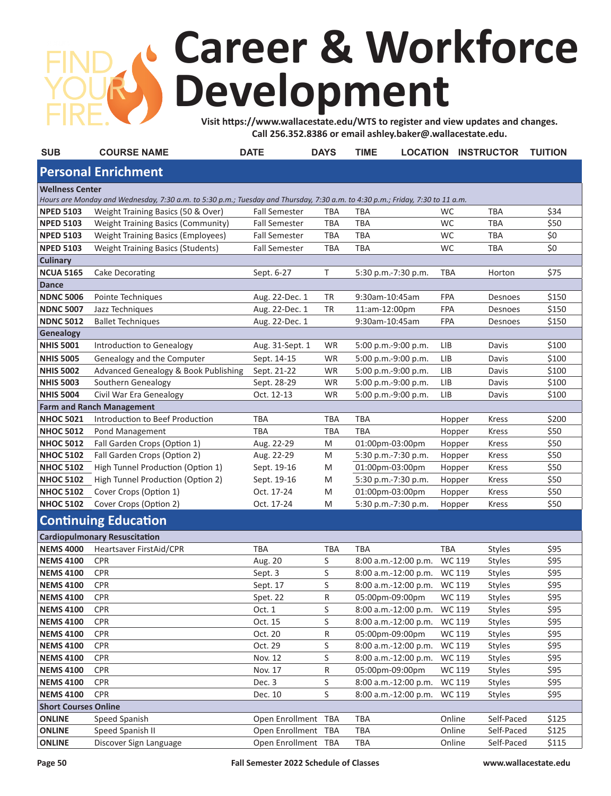## **Career & Workforce Development**

**Visit https://www.wallacestate.edu/WTS to register and view updates and changes. Call 256.352.8386 or email ashley.baker@.wallacestate.edu.** 

| <b>SUB</b>                                                                                                                    | <b>COURSE NAME</b>                        | <b>DATE</b>          | <b>DAYS</b> | <b>TIME</b>            |            | <b>LOCATION INSTRUCTOR</b> | <b>TUITION</b> |  |  |  |  |  |  |  |
|-------------------------------------------------------------------------------------------------------------------------------|-------------------------------------------|----------------------|-------------|------------------------|------------|----------------------------|----------------|--|--|--|--|--|--|--|
| <b>Personal Enrichment</b>                                                                                                    |                                           |                      |             |                        |            |                            |                |  |  |  |  |  |  |  |
| <b>Wellness Center</b>                                                                                                        |                                           |                      |             |                        |            |                            |                |  |  |  |  |  |  |  |
| Hours are Monday and Wednesday, 7:30 a.m. to 5:30 p.m.; Tuesday and Thursday, 7:30 a.m. to 4:30 p.m.; Friday, 7:30 to 11 a.m. |                                           |                      |             |                        |            |                            |                |  |  |  |  |  |  |  |
| <b>NPED 5103</b>                                                                                                              | Weight Training Basics (50 & Over)        | <b>Fall Semester</b> | TBA         | TBA                    | WC         | TBA                        | \$34           |  |  |  |  |  |  |  |
| <b>NPED 5103</b>                                                                                                              | <b>Weight Training Basics (Community)</b> | <b>Fall Semester</b> | <b>TBA</b>  | <b>TBA</b>             | WC         | <b>TBA</b>                 | \$50           |  |  |  |  |  |  |  |
| <b>NPED 5103</b>                                                                                                              | <b>Weight Training Basics (Employees)</b> | <b>Fall Semester</b> | <b>TBA</b>  | <b>TBA</b>             | WC         | <b>TBA</b>                 | \$0            |  |  |  |  |  |  |  |
| <b>NPED 5103</b>                                                                                                              | <b>Weight Training Basics (Students)</b>  | <b>Fall Semester</b> | <b>TBA</b>  | <b>TBA</b>             | WC         | <b>TBA</b>                 | \$0            |  |  |  |  |  |  |  |
| Culinary                                                                                                                      |                                           |                      |             |                        |            |                            |                |  |  |  |  |  |  |  |
| <b>NCUA 5165</b>                                                                                                              | Cake Decorating                           | Sept. 6-27           | Τ           | 5:30 p.m.-7:30 p.m.    | TBA        | Horton                     | \$75           |  |  |  |  |  |  |  |
| <b>Dance</b>                                                                                                                  |                                           |                      |             |                        |            |                            |                |  |  |  |  |  |  |  |
| <b>NDNC 5006</b>                                                                                                              | Pointe Techniques                         | Aug. 22-Dec. 1       | <b>TR</b>   | 9:30am-10:45am         | FPA        | Desnoes                    | \$150          |  |  |  |  |  |  |  |
| <b>NDNC 5007</b>                                                                                                              | Jazz Techniques                           | Aug. 22-Dec. 1       | TR          | 11:am-12:00pm          | FPA        | Desnoes                    | \$150          |  |  |  |  |  |  |  |
| <b>NDNC 5012</b>                                                                                                              | <b>Ballet Techniques</b>                  | Aug. 22-Dec. 1       |             | 9:30am-10:45am         | FPA        | Desnoes                    | \$150          |  |  |  |  |  |  |  |
| Genealogy                                                                                                                     |                                           |                      |             |                        |            |                            |                |  |  |  |  |  |  |  |
| <b>NHIS 5001</b>                                                                                                              | Introduction to Genealogy                 | Aug. 31-Sept. 1      | WR          | 5:00 p.m.-9:00 p.m.    | LIB        | Davis                      | \$100          |  |  |  |  |  |  |  |
| <b>NHIS 5005</b>                                                                                                              | Genealogy and the Computer                | Sept. 14-15          | WR          | 5:00 p.m.-9:00 p.m.    | LIB        | Davis                      | \$100          |  |  |  |  |  |  |  |
| <b>NHIS 5002</b>                                                                                                              | Advanced Genealogy & Book Publishing      | Sept. 21-22          | <b>WR</b>   | 5:00 p.m.-9:00 p.m.    | <b>LIB</b> | Davis                      | \$100          |  |  |  |  |  |  |  |
| <b>NHIS 5003</b>                                                                                                              | Southern Genealogy                        | Sept. 28-29          | WR          | 5:00 p.m.-9:00 p.m.    | LIB        | Davis                      | \$100          |  |  |  |  |  |  |  |
| <b>NHIS 5004</b>                                                                                                              | Civil War Era Genealogy                   | Oct. 12-13           | WR          | 5:00 p.m.-9:00 p.m.    | LIB        | Davis                      | \$100          |  |  |  |  |  |  |  |
|                                                                                                                               | <b>Farm and Ranch Management</b>          |                      |             |                        |            |                            |                |  |  |  |  |  |  |  |
| <b>NHOC 5021</b>                                                                                                              | Introduction to Beef Production           | <b>TBA</b>           | TBA         | TBA                    | Hopper     | <b>Kress</b>               | \$200          |  |  |  |  |  |  |  |
| <b>NHOC 5012</b>                                                                                                              | Pond Management                           | <b>TBA</b>           | <b>TBA</b>  | <b>TBA</b>             | Hopper     | Kress                      | \$50           |  |  |  |  |  |  |  |
| <b>NHOC 5012</b>                                                                                                              | Fall Garden Crops (Option 1)              | Aug. 22-29           | M           | 01:00pm-03:00pm        | Hopper     | <b>Kress</b>               | \$50           |  |  |  |  |  |  |  |
| <b>NHOC 5102</b>                                                                                                              | Fall Garden Crops (Option 2)              | Aug. 22-29           | M           | 5:30 p.m.-7:30 p.m.    | Hopper     | <b>Kress</b>               | \$50           |  |  |  |  |  |  |  |
| <b>NHOC 5102</b>                                                                                                              | High Tunnel Production (Option 1)         | Sept. 19-16          | M           | 01:00pm-03:00pm        | Hopper     | <b>Kress</b>               | \$50           |  |  |  |  |  |  |  |
| <b>NHOC 5102</b>                                                                                                              | High Tunnel Production (Option 2)         | Sept. 19-16          | M           | 5:30 p.m.-7:30 p.m.    | Hopper     | <b>Kress</b>               | \$50           |  |  |  |  |  |  |  |
| <b>NHOC 5102</b>                                                                                                              | Cover Crops (Option 1)                    | Oct. 17-24           | M           | 01:00pm-03:00pm        | Hopper     | Kress                      | \$50           |  |  |  |  |  |  |  |
| <b>NHOC 5102</b>                                                                                                              | Cover Crops (Option 2)                    | Oct. 17-24           | M           | 5:30 p.m.-7:30 p.m.    | Hopper     | <b>Kress</b>               | \$50           |  |  |  |  |  |  |  |
|                                                                                                                               | <b>Continuing Education</b>               |                      |             |                        |            |                            |                |  |  |  |  |  |  |  |
|                                                                                                                               | <b>Cardiopulmonary Resuscitation</b>      |                      |             |                        |            |                            |                |  |  |  |  |  |  |  |
| <b>NEMS 4000</b>                                                                                                              | Heartsaver FirstAid/CPR                   | <b>TBA</b>           | TBA         | TBA                    | <b>TBA</b> | <b>Styles</b>              | \$95           |  |  |  |  |  |  |  |
| <b>NEMS 4100</b>                                                                                                              | <b>CPR</b>                                | Aug. 20              | S           | 8:00 a.m.-12:00 p.m.   | WC 119     | <b>Styles</b>              | \$95           |  |  |  |  |  |  |  |
| <b>NEMS 4100</b>                                                                                                              | <b>CPR</b>                                | Sept. 3              | S           | 8:00 a.m.-12:00 p.m.   | WC 119     | <b>Styles</b>              | \$95           |  |  |  |  |  |  |  |
| <b>NEMS 4100</b>                                                                                                              | <b>CPR</b>                                | Sept. 17             | S           | 8:00 a.m.-12:00 p.m.   | WC 119     | <b>Styles</b>              | \$95           |  |  |  |  |  |  |  |
| <b>NEMS 4100</b>                                                                                                              | <b>CPR</b>                                | Spet. 22             | R           | 05:00pm-09:00pm        | WC 119     | <b>Styles</b>              | \$95           |  |  |  |  |  |  |  |
| <b>NEMS 4100</b>                                                                                                              | <b>CPR</b>                                | Oct. 1               | S           | $8:00$ a.m.-12:00 p.m. | WC 119     | Styles                     | \$95           |  |  |  |  |  |  |  |
| <b>NEMS 4100</b>                                                                                                              | <b>CPR</b>                                | Oct. 15              | S           | $8:00$ a.m.-12:00 p.m. | WC 119     | <b>Styles</b>              | \$95           |  |  |  |  |  |  |  |
| <b>NEMS 4100</b>                                                                                                              | CPR                                       | Oct. 20              | R           | 05:00pm-09:00pm        | WC 119     | <b>Styles</b>              | \$95           |  |  |  |  |  |  |  |
| <b>NEMS 4100</b>                                                                                                              | <b>CPR</b>                                | Oct. 29              | S           | 8:00 a.m.-12:00 p.m.   | WC 119     | <b>Styles</b>              | \$95           |  |  |  |  |  |  |  |
| <b>NEMS 4100</b>                                                                                                              | <b>CPR</b>                                | Nov. 12              | S           | 8:00 a.m.-12:00 p.m.   | WC 119     | <b>Styles</b>              | \$95           |  |  |  |  |  |  |  |
| <b>NEMS 4100</b>                                                                                                              | <b>CPR</b>                                | Nov. 17              | R           | 05:00pm-09:00pm        | WC 119     | <b>Styles</b>              | \$95           |  |  |  |  |  |  |  |
| <b>NEMS 4100</b>                                                                                                              | <b>CPR</b>                                | Dec. 3               | S           | 8:00 a.m.-12:00 p.m.   | WC 119     | <b>Styles</b>              | \$95           |  |  |  |  |  |  |  |
| <b>NEMS 4100</b>                                                                                                              | <b>CPR</b>                                | Dec. 10              | S           | 8:00 a.m.-12:00 p.m.   | WC 119     | <b>Styles</b>              | \$95           |  |  |  |  |  |  |  |
|                                                                                                                               | <b>Short Courses Online</b>               |                      |             |                        |            |                            |                |  |  |  |  |  |  |  |
| <b>ONLINE</b>                                                                                                                 | Speed Spanish                             | Open Enrollment TBA  |             | TBA                    | Online     | Self-Paced                 | \$125          |  |  |  |  |  |  |  |
| <b>ONLINE</b>                                                                                                                 | Speed Spanish II                          | Open Enrollment TBA  |             | TBA                    | Online     | Self-Paced                 | \$125          |  |  |  |  |  |  |  |